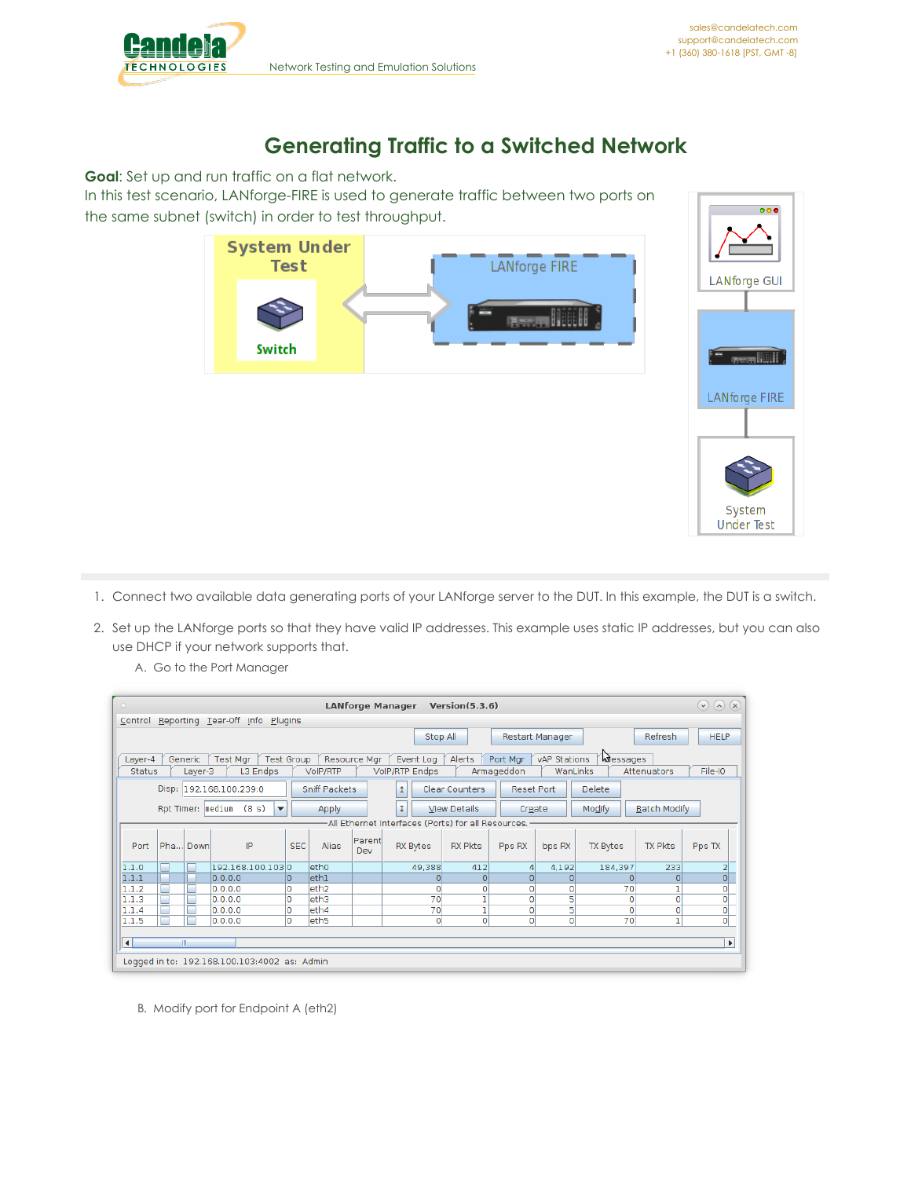

## **Generating Traffic to a Switched Network**

**Goal**: Set up and run traffic on a flat network.

In this test scenario, LANforge-FIRE is used to generate traffic between two ports on the same subnet (switch) in order to test throughput.



- 1. Connect two available data generating ports of your LANforge server to the DUT. In this example, the DUT is a switch.
- 2. Set up the LANforge ports so that they have valid IP addresses. This example uses static IP addresses, but you can also use DHCP if your network supports that.
	- A. Go to the Port Manager

| $\odot$ $\odot$ $\odot$<br>$\circ$<br><b>LANforge Manager</b><br>Version(5.3.6)                                                                             |                                                       |  |  |  |  |  |  |  |
|-------------------------------------------------------------------------------------------------------------------------------------------------------------|-------------------------------------------------------|--|--|--|--|--|--|--|
| Control Reporting Tear-Off Info<br>Plugins                                                                                                                  |                                                       |  |  |  |  |  |  |  |
| Refresh<br>Stop All<br><b>HELP</b><br><b>Restart Manager</b>                                                                                                |                                                       |  |  |  |  |  |  |  |
| <b>Messages</b><br>Alerts<br>Port Mgr<br>vAP Stations<br>Test Mgr<br><b>Test Group</b><br>Resource Mar<br>Event Log<br>Layer-4<br>Generic                   |                                                       |  |  |  |  |  |  |  |
| WanLinks<br>L3 Endps<br><b>VolP/RTP Endps</b><br>Armageddon<br><b>Status</b><br>Layer-3<br><b>VoIP/RTP</b>                                                  | File-IO<br>Attenuators                                |  |  |  |  |  |  |  |
| <b>Sniff Packets</b><br>Disp:<br>192.168.100.239:0<br>Clear Counters<br>Reset Port<br><b>Delete</b><br>1                                                    |                                                       |  |  |  |  |  |  |  |
| Rpt Timer: medium (8 s)<br>Modify<br>τ<br><b>View Details</b><br>▼<br>Apply<br>Create                                                                       | <b>Batch Modify</b>                                   |  |  |  |  |  |  |  |
| All Ethernet Interfaces (Ports) for all Resources.                                                                                                          |                                                       |  |  |  |  |  |  |  |
| Parent<br>Pha Down<br>IP<br><b>Alias</b><br><b>SEC</b><br><b>RX Pkts</b><br>Port<br><b>RX Bytes</b><br>Pps RX<br><b>TX Bytes</b><br>bps RX<br>Dev           | <b>TX Pkts</b><br>Pps TX                              |  |  |  |  |  |  |  |
| 192.168.100.1030<br>leth <sub>0</sub><br>412<br>1.1.0<br>49,388<br>4,192<br>184,397<br>4                                                                    | $\frac{2}{0}$<br>233                                  |  |  |  |  |  |  |  |
| eth1<br>1.1.1<br>0.0.0.0<br>0<br>$\Omega$<br>$\Omega$<br>0<br>0                                                                                             |                                                       |  |  |  |  |  |  |  |
| 0<br>$\Omega$<br>70<br>$\mathbf 0$<br>0<br>1.1.2<br>0.0.0.0<br>l0.<br>eth <sub>2</sub>                                                                      | $\overline{0}$                                        |  |  |  |  |  |  |  |
| Г<br>5<br>l0.<br>leth <sub>3</sub><br>70<br>0<br>1.1.3<br>0.0.0.0<br>$\circ$                                                                                | $\overline{0}$<br>$\Omega$                            |  |  |  |  |  |  |  |
| 5<br>1.1.4<br>O<br>70<br>0<br>leth4<br>1<br>0.0.0.0<br>$\overline{0}$<br>0<br>$\overline{0}$<br>70<br>eth <sub>5</sub><br>1.1.5<br>lo<br>$\circ$<br>0.0.0.0 | $\overline{\mathfrak{o}}$<br>0<br>0<br>$\overline{0}$ |  |  |  |  |  |  |  |
|                                                                                                                                                             |                                                       |  |  |  |  |  |  |  |
| $\vert \vert$<br>$\mathbf{r}$                                                                                                                               |                                                       |  |  |  |  |  |  |  |
| Logged in to: 192.168.100.103:4002 as: Admin                                                                                                                |                                                       |  |  |  |  |  |  |  |

B. Modify port for Endpoint A (eth2)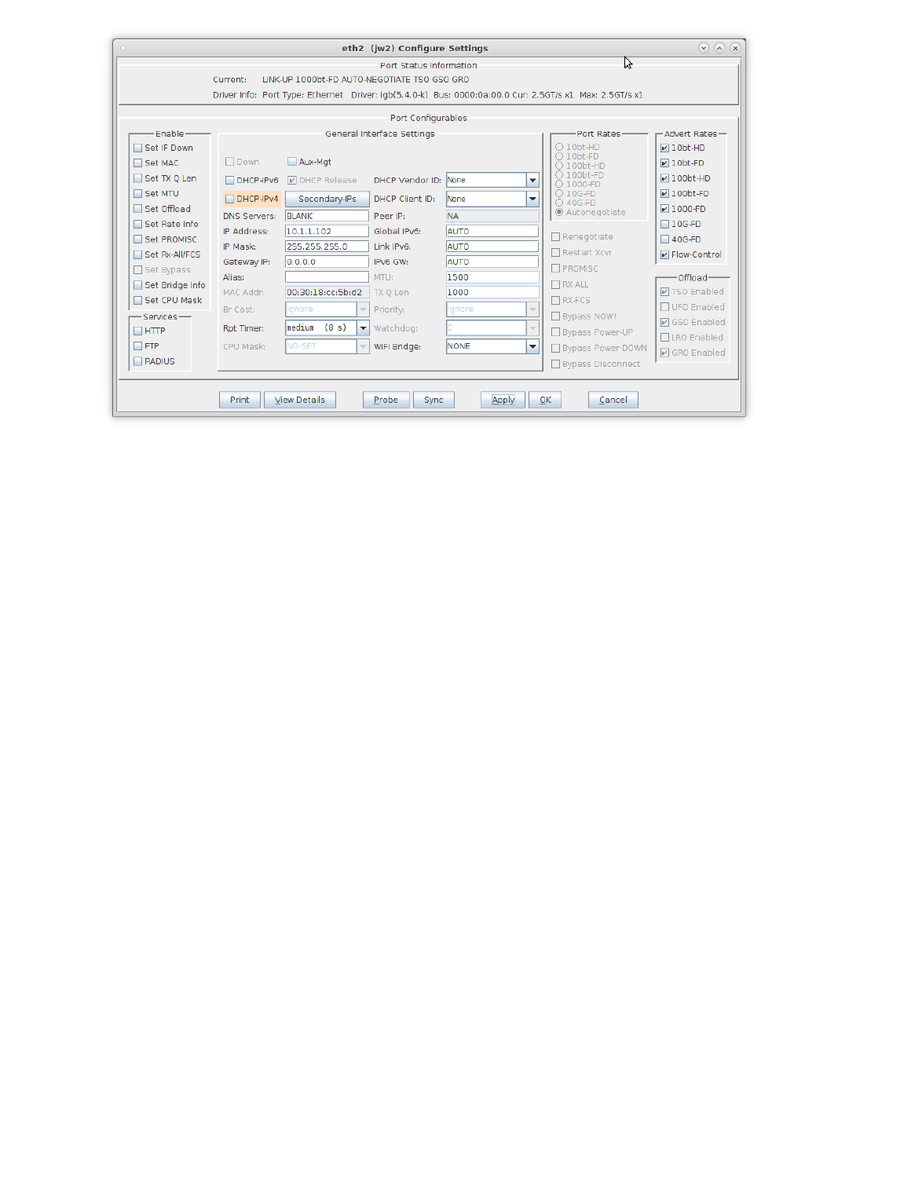| $\circ$                         |                                                                                                                                                                                                     |                                                                                    | eth2 (jw2) Configure Settings           |                                              |                                                           | $(\vee)$ $(\wedge)$ $(\times)$       |  |  |  |
|---------------------------------|-----------------------------------------------------------------------------------------------------------------------------------------------------------------------------------------------------|------------------------------------------------------------------------------------|-----------------------------------------|----------------------------------------------|-----------------------------------------------------------|--------------------------------------|--|--|--|
|                                 | A<br>Port Status Information<br>Current:<br>LINK-UP 1000bt-FD AUTO-NEGOTIATE TSO GSO GRO<br>Driver Info: Port Type: Ethernet Driver: igb(5.4.0-k) Bus: 0000:0a:00.0 Cur: 2.5GT/s x1 Max: 2.5GT/s x1 |                                                                                    |                                         |                                              |                                                           |                                      |  |  |  |
|                                 |                                                                                                                                                                                                     |                                                                                    | Port Configurables                      |                                              |                                                           |                                      |  |  |  |
| Enable-<br>Set IF Down          |                                                                                                                                                                                                     |                                                                                    | General Interface Settings              |                                              | Port Rates-<br>$O$ 10bt-HD                                | -Advert Rates-<br>$\nu$ 10bt-HD      |  |  |  |
| Set MAC                         | $\Box$ Down                                                                                                                                                                                         | Aux-Mat                                                                            |                                         |                                              | $\bigcirc$ 10bt-FD<br>$\bigcirc$ 100bt-HD<br>$O$ 100bt-FD | $\nu$ 10bt-FD                        |  |  |  |
| Set TX Q Len<br>Set MTU         | $DHCP-IPv6$<br>$DHCP-IPv4$                                                                                                                                                                          | <b>V</b> DHCP Release<br>Secondary-IPs                                             | DHCP Vendor ID: None<br>DHCP Client ID: | ▼<br><b>None</b><br>$\overline{\phantom{a}}$ | ○ 1000-FD<br>○ 10G-FD<br>○ 40G-FD                         | $\nu$ 100bt-HD<br>$\nu$ 100bt-FD     |  |  |  |
| Set Offload<br>□ Set Rate Info  | <b>DNS Servers:</b>                                                                                                                                                                                 | <b>BLANK</b>                                                                       | Peer IP:                                | <b>NA</b>                                    | C Autonegotiate                                           | $\nu$ 1000-FD<br>$\Box$ 10G-FD       |  |  |  |
| Set PROMISC<br>Set Rx-All/FCS   | IP Address:<br>IP Mask:                                                                                                                                                                             | 10.1.1.102<br>255.255.255.0                                                        | Global IPv6:<br>Link IPv6:              | <b>AUTO</b><br>AUTO                          | $\Box$ Renegotiate<br>□ Restart Xcvr                      | $\Box$ 40G-FD<br>P Flow-Control      |  |  |  |
| Set Bypass                      | Gateway IP:<br>Alias:                                                                                                                                                                               | 0.0.0.0                                                                            | IPv6 GW:<br>MTU:                        | <b>AUTO</b><br>1500                          | <b>T</b> PROMISC                                          | Offload-                             |  |  |  |
| Set Bridge Info<br>Set CPU Mask | MAC Addr:                                                                                                                                                                                           | 00:30:18:cc:5b:d2                                                                  | TX Q Len                                | 1000                                         | $\Box$ RX-ALL<br>$\Box$ RX-FCS                            | <b>レISO Enabled</b><br>□ UFO Enabled |  |  |  |
| -Services-<br>$\Box$ HTTP       | Br Cost:<br>Rpt Timer:                                                                                                                                                                              | Ignore<br>$\overline{\phantom{a}}$<br>lmedium<br>(8 s)<br>$\overline{\phantom{a}}$ | Priority:<br>Watchdog:                  | gnore<br>÷<br>÷                              | Bypass NOW!<br>Bypass Power-UP                            | <b>☑</b> GSO Enabled                 |  |  |  |
| $\Box$ FTP                      | CPU Mask:                                                                                                                                                                                           | <b>NO-SET</b><br>$\overline{\mathbf{v}}$                                           | WiFi Bridge:                            | <b>NONE</b><br>▼                             | Bypass Power-DOWN                                         | □LRO Enabled<br><b>☑</b> GRO Enabled |  |  |  |
| $\Box$ RADIUS                   |                                                                                                                                                                                                     |                                                                                    |                                         |                                              | □ Bypass Disconnect                                       |                                      |  |  |  |
|                                 | Print                                                                                                                                                                                               | <b>View Details</b>                                                                | Probe<br><b>Sync</b>                    | Apply                                        | 0K<br>Cancel                                              |                                      |  |  |  |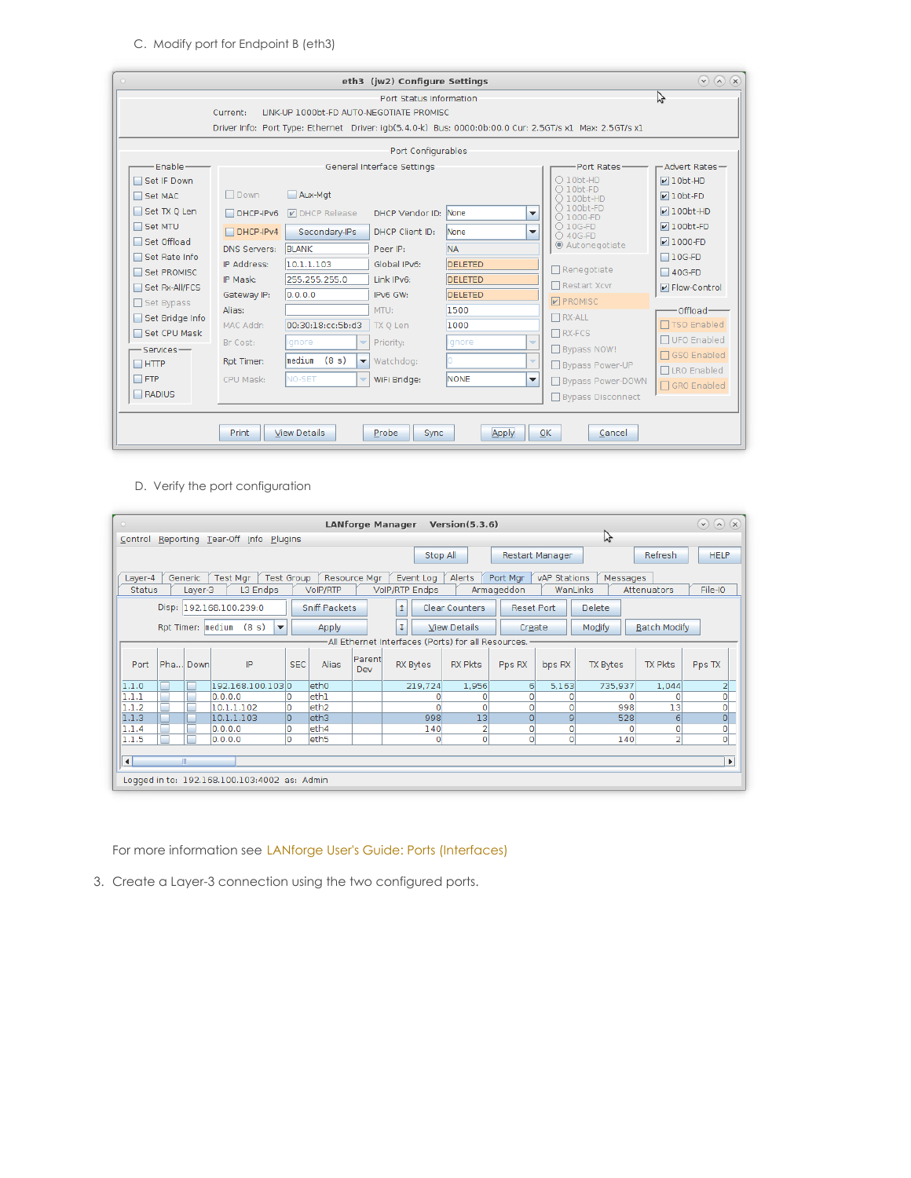C. Modify port for Endpoint B (eth3)

|                                                |                                                                                                         |                                                                                      | eth3 (jw2) Configure Settings |                                         |                                                                                | $(\vee)$ $(\wedge)$ $(\times)$                   |
|------------------------------------------------|---------------------------------------------------------------------------------------------------------|--------------------------------------------------------------------------------------|-------------------------------|-----------------------------------------|--------------------------------------------------------------------------------|--------------------------------------------------|
| Current:                                       | Driver Info: Port Type: Ethernet Driver: igb(5.4.0-k) Bus: 0000:0b:00.0 Cur: 2.5GT/s x1 Max: 2.5GT/s x1 | グ                                                                                    |                               |                                         |                                                                                |                                                  |
|                                                |                                                                                                         |                                                                                      | Port Configurables            |                                         |                                                                                |                                                  |
| Fnable-                                        |                                                                                                         |                                                                                      | General Interface Settings    |                                         | Port Rates-                                                                    | -Advert Rates-                                   |
| Set IF Down<br>Set MAC<br>Set TX Q Len         | $\Box$ Down<br>$DHCP-IPv6$                                                                              | Aux-Mat<br><b>DECP Release</b>                                                       | DHCP Vendor ID: None          | ▼                                       | $O$ 10bt-HD<br>$\bigcirc$ 10bt-FD<br>$\bigcap$ 100bt-HD<br>$\bigcirc$ 100bt-FD | $V10bt-HD$<br>$\nu$ 10bt-FD<br>$\nu$ 100bt-HD    |
| Set MTU<br>□ Set Offload                       | $DHCP-IPv4$<br><b>DNS Servers:</b>                                                                      | Secondary-IPs<br><b>BLANK</b>                                                        | DHCP Client ID:<br>Peer IP:   | <b>None</b><br>▼<br><b>NA</b>           | ○ 1000-FD<br>$\bigcirc$ 10G-FD<br>○ 40G-FD<br>C Autonegotiate                  | $\nu$ 100bt-FD<br>$V$ 1000-FD                    |
| Set Rate Info<br>Set PROMISC<br>Set Rx-All/FCS | IP Address:<br>IP Mask:                                                                                 | 10.1.1.103<br>255.255.255.0                                                          | Global IPv6:<br>Link IPv6:    | <b>DELETED</b><br><b>DELETED</b>        | $\Box$ Renegotiate<br>□ Restart Xcvr                                           | $\Box$ 10G-FD<br>$\Box$ 40G-FD<br>P Flow-Control |
| Set Bypass<br>Set Bridge Info                  | Gateway IP:<br>Alias:<br>MAC Addr:                                                                      | 0.0.0.0<br>00:30:18:cc:5b:d3                                                         | IPv6 GW:<br>MTU:<br>TX 0 Len  | <b>DELETED</b><br>1500<br>1000          | <b>PROMISC</b><br>$\Box$ RX-ALL                                                | Offload-<br>□ TSO Enabled                        |
| Set CPU Mask<br>-Services-                     | Br Cost:<br>Rpt Timer:                                                                                  | lanore<br>$\overline{\phantom{a}}$<br>$ $ medium $(8 s)$<br>$\overline{\phantom{a}}$ | Priority:<br>Watchdog:        | Ignore<br>$\overline{\phantom{a}}$<br>÷ | $\Box$ RX-FCS<br>Bypass NOW!                                                   | □ UFO Enabled<br>□ GSO Enabled                   |
| $\Box$ HTTP<br>$\Box$ FTP<br>$\Box$ RADIUS     | CPU Mask:                                                                                               | <b>NO-SET</b><br>$\overline{\phantom{a}}$                                            | WiFi Bridge:                  | <b>NONE</b><br>$\overline{\phantom{a}}$ | Bypass Power-UP<br>Bypass Power-DOWN                                           | □LRO Enabled<br>□ GRO Enabled                    |
|                                                | Print                                                                                                   | <b>View Details</b>                                                                  | Probe<br><b>Sync</b>          | Apply                                   | □ Bypass Disconnect<br>0K<br>Cancel                                            |                                                  |

D. Verify the port configuration

| $\circ$       | <b>LANforge Manager</b><br>Version(5.3.6)                    |         |                                              |            |                      |               |                                                     |                       |                | $(9)$ (x) $(8)$ |                 |                |                         |
|---------------|--------------------------------------------------------------|---------|----------------------------------------------|------------|----------------------|---------------|-----------------------------------------------------|-----------------------|----------------|-----------------|-----------------|----------------|-------------------------|
| Control       | グ<br>Reporting Tear-Off Info Plugins                         |         |                                              |            |                      |               |                                                     |                       |                |                 |                 |                |                         |
|               | <b>Refresh</b><br>Stop All<br><b>HELP</b><br>Restart Manager |         |                                              |            |                      |               |                                                     |                       |                |                 |                 |                |                         |
| Layer-4       | Generic                                                      |         | Test Mgr<br>Test Group                       |            |                      | Resource Mar  | Event Log                                           | Alerts                | Port Mar       | vAP Stations    | Messages        |                |                         |
| <b>Status</b> |                                                              | Layer-3 | L3 Endps                                     |            | VoIP/RTP             |               | <b>VolP/RTP Endps</b>                               |                       | Armageddon     | WanLinks        |                 | Attenuators    | File-IO                 |
|               |                                                              |         | Disp: 192.168.100.239:0                      |            | <b>Sniff Packets</b> |               | 1                                                   | <b>Clear Counters</b> | Reset Port     |                 | <b>Delete</b>   |                |                         |
|               | Rpt Timer: medium                                            |         | (8 s)<br>$\overline{\phantom{a}}$            |            | Apply                |               | τ                                                   | <b>View Details</b>   | Create         |                 | Modify          | Batch Modify   |                         |
|               |                                                              |         |                                              |            |                      |               | -All Ethernet Interfaces (Ports) for all Resources. |                       |                |                 |                 |                |                         |
| Port          | Pha Down                                                     |         | IP                                           | <b>SEC</b> | <b>Alias</b>         | Parent<br>Dev | <b>RX Bytes</b>                                     | <b>RX Pkts</b>        | Pps RX         | bps RX          | <b>TX Bytes</b> | <b>TX Pkts</b> | Pps TX                  |
| 1.1.0         | г                                                            |         | 192.168.100.1030                             |            | eth <sub>0</sub>     |               | 219,724                                             | 1,956                 | 6              | 5,163           | 735,937         | 1,044          | $\mathbf{z}$            |
| 1.1.1         |                                                              |         | 0.0.0.0                                      |            | eth1                 |               | o                                                   |                       |                |                 |                 |                | $\overline{\mathbf{0}}$ |
| 1.1.2         |                                                              |         | 10.1.1.102                                   | O          | eth <sub>2</sub>     |               | $\Omega$                                            | o                     | 0              | $\circ$         | 998             | 13             | $\overline{\mathbf{o}}$ |
| 1.1.3         |                                                              |         | 10.1.1.103                                   | 0          | eth3                 |               | 998                                                 | 13                    | $\overline{0}$ | $\overline{9}$  | 528             | 6              | $\overline{o}$          |
| 1.1.4         |                                                              |         | 0.0.0.0                                      | 0          | eth4                 |               | 140                                                 | 2                     | 0              | $\circ$         |                 | 0              | $\mathbf{0}$            |
| 1.1.5         |                                                              |         | 0.0.0.0                                      | 0          | eth <sub>5</sub>     |               | $\circ$                                             | $\circ$               | $\Omega$       | $\Omega$        | 140             | $\overline{2}$ | $\circ$                 |
| ◨             | k                                                            |         |                                              |            |                      |               |                                                     |                       |                |                 |                 |                |                         |
|               |                                                              |         | Logged in to: 192.168.100.103:4002 as: Admin |            |                      |               |                                                     |                       |                |                 |                 |                |                         |

For more information see LANforge User's Guide: Ports [\(Interfaces\)](http://www.candelatech.com/lfgui_ug.php#port)

3. Create a Layer-3 connection using the two configured ports.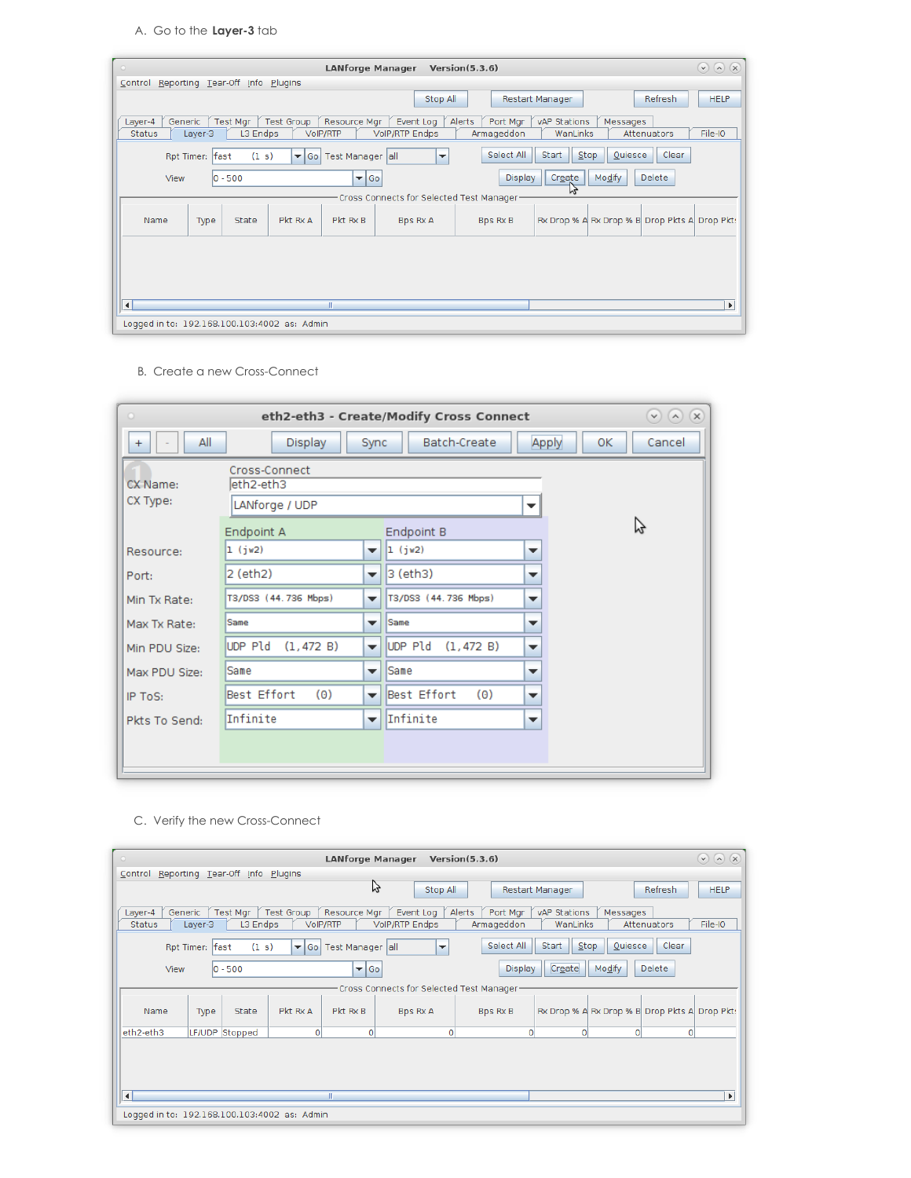## A. Go to the **Layer-3** tab

| $\odot$ (a) (x)<br>$\bullet$<br><b>LANforge Manager</b><br>Version(5.3.6)                                                                                                                                                                                    |  |  |  |  |  |  |  |
|--------------------------------------------------------------------------------------------------------------------------------------------------------------------------------------------------------------------------------------------------------------|--|--|--|--|--|--|--|
| Reporting Tear-Off Info<br>Plugins<br>Control                                                                                                                                                                                                                |  |  |  |  |  |  |  |
| <b>HELP</b><br>Refresh<br>Stop All<br>Restart Manager                                                                                                                                                                                                        |  |  |  |  |  |  |  |
| Test Group<br>Resource Mgr<br>Layer-4<br>Generic<br>Test Mgr<br>Event Log<br>Alerts<br>Port Mgr<br>vAP Stations<br>Messages<br>File-IO<br><b>Status</b><br>L3 Endps<br>VoIP/RTP<br><b>VolP/RTP Endps</b><br>WanLinks<br>Layer-3<br>Armageddon<br>Attenuators |  |  |  |  |  |  |  |
| Select All<br>Quiesce<br>Clear<br>Start<br>Stop<br>(1 s)<br>Rpt Timer:  fast<br>$\blacktriangledown$ Go<br>Test Manager   all<br>$\blacktriangledown$                                                                                                        |  |  |  |  |  |  |  |
| Modify<br>Delete<br>Create<br><b>Display</b><br>$ 0 - 500 $<br>$\blacktriangleright$ 60<br>View<br>ŕN                                                                                                                                                        |  |  |  |  |  |  |  |
| Cross Connects for Selected Test Manager-                                                                                                                                                                                                                    |  |  |  |  |  |  |  |
| Pkt Rx A<br>Pkt Rx B<br>Rx Drop % A Rx Drop % B Drop Pkts A Drop Pkt:<br>Name<br>State<br><b>Bps Rx A</b><br>Bps Rx B<br>Type                                                                                                                                |  |  |  |  |  |  |  |
|                                                                                                                                                                                                                                                              |  |  |  |  |  |  |  |
|                                                                                                                                                                                                                                                              |  |  |  |  |  |  |  |
|                                                                                                                                                                                                                                                              |  |  |  |  |  |  |  |
| $\mathbf{F}$<br>$\blacktriangleleft$<br>Ш                                                                                                                                                                                                                    |  |  |  |  |  |  |  |
| Logged in to: 192.168.100.103:4002 as: Admin                                                                                                                                                                                                                 |  |  |  |  |  |  |  |

B. Create a new Cross-Connect

| $\circ$              |                                               |                          | eth2-eth3 - Create/Modify Cross Connect |                          | $\vee$ (x) $\infty$   |
|----------------------|-----------------------------------------------|--------------------------|-----------------------------------------|--------------------------|-----------------------|
| All<br>$+$           | Display                                       | Sync                     | Batch-Create                            |                          | Apply<br>0K<br>Cancel |
| CX Name:<br>CX Type: | Cross-Connect<br>leth2-eth3<br>LANforge / UDP |                          |                                         | ▼                        |                       |
|                      | Endpoint A                                    |                          | Endpoint B                              |                          | グ                     |
| Resource:            | $1$ (jw2)                                     | ▼                        | 1(jw2)                                  | $\overline{\phantom{a}}$ |                       |
| Port:                | 2 (eth2)                                      | $\overline{\phantom{a}}$ | 3 (eth3)                                | $\overline{\phantom{a}}$ |                       |
| Min Tx Rate:         | T3/DS3 (44.736 Mbps)                          | $\overline{\phantom{a}}$ | T3/DS3 (44.736 Mbps)                    | $\overline{\phantom{a}}$ |                       |
| Max Tx Rate:         | Same                                          | $\overline{\phantom{a}}$ | <b>Same</b>                             | ▼                        |                       |
| Min PDU Size:        | UDP Pld<br>(1, 472 B)                         | ▼                        | lupp Pld<br>(1, 472 B)                  | $\overline{\phantom{a}}$ |                       |
| Max PDU Size:        | Same                                          | $\overline{\phantom{a}}$ | <b>Same</b>                             | $\overline{\phantom{a}}$ |                       |
| IP ToS:              | Best Effort<br>(0)                            | $\overline{\phantom{a}}$ | Best Effort<br>(0)                      | $\overline{\phantom{a}}$ |                       |
| Pkts To Send:        | Infinite                                      | ▼                        | Infinite                                | $\overline{\phantom{a}}$ |                       |
|                      |                                               |                          |                                         |                          |                       |
|                      |                                               |                          |                                         |                          |                       |

C. Verify the new Cross-Connect

| $\circ$                             |                                              |                         | <b>LANforge Manager</b> |                                           | Version(5.3.6)                   |                          |                                               | $\odot$ $\odot$<br>$(\times)$ |
|-------------------------------------|----------------------------------------------|-------------------------|-------------------------|-------------------------------------------|----------------------------------|--------------------------|-----------------------------------------------|-------------------------------|
| Control                             | Reporting Tear-Off Info Plugins              |                         |                         |                                           |                                  |                          |                                               |                               |
|                                     |                                              |                         | ピ                       | Stop All                                  |                                  | Restart Manager          | <b>Refresh</b>                                | <b>HELP</b>                   |
| Layer-4<br>Generic<br><b>Status</b> | Test Mgr<br>Layer-3<br>L3 Endps              | Test Group<br>VoIP/RTP  | Resource Mgr            | Event Log<br><b>VolP/RTP Endps</b>        | Alerts<br>Port Mgr<br>Armageddon | vAP Stations<br>WanLinks | Messages<br><b>Attenuators</b>                | File-IO                       |
|                                     | (1 s)<br>Rpt Timer: fast                     | $\blacktriangledown$ Go | Test Manager all        | $\overline{\phantom{a}}$                  | Select All                       | Start<br>Stop            | Clear<br>Quiesce                              |                               |
| View                                | $ 0 - 500 $                                  |                         | $\blacktriangledown$ Go |                                           | Display                          | Create<br>Modify         | Delete                                        |                               |
|                                     |                                              |                         |                         | Cross Connects for Selected Test Manager- |                                  |                          |                                               |                               |
| Name                                | State<br>Type                                | Pkt Rx A                | Pkt Rx B                | Bps Rx A                                  | Bps Rx B                         |                          | Rx Drop % A Rx Drop % B Drop Pkts A Drop Pkt: |                               |
| eth2-eth3                           | LF/UDP Stopped                               | $\circ$                 | $\circ$                 | $\circ$                                   | $\overline{0}$                   | $\circ$                  | $\circ$<br>$\circ$                            |                               |
|                                     |                                              |                         |                         |                                           |                                  |                          |                                               |                               |
| $\blacktriangleleft$                |                                              | Ш                       |                         |                                           |                                  |                          |                                               | k                             |
|                                     | Logged in to: 192.168.100.103:4002 as: Admin |                         |                         |                                           |                                  |                          |                                               |                               |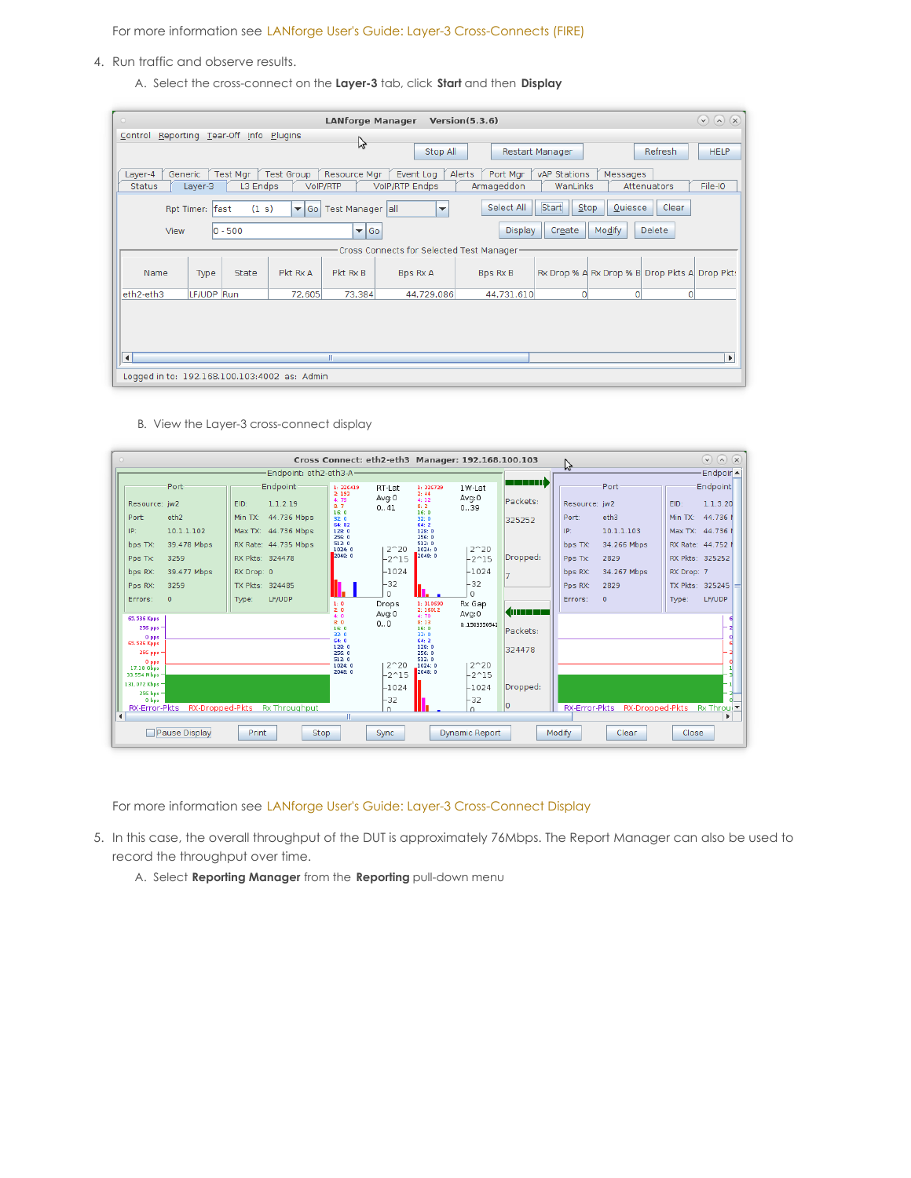For more information see LANforge User's Guide: Layer-3 [Cross-Connects](http://www.candelatech.com/lfgui_ug.php#cx) (FIRE)

- 4. Run traffic and observe results.
	- A. Select the cross-connect on the **Layer-3** tab, click **Start** and then **Display**

| $\circ$                                              |                 |                 |                         | <b>LANforge Manager</b> |                                           | Version(5.3.6)     |                                               |          |             | $(\times)$<br>$\odot$ (a) |
|------------------------------------------------------|-----------------|-----------------|-------------------------|-------------------------|-------------------------------------------|--------------------|-----------------------------------------------|----------|-------------|---------------------------|
| Control Reporting Tear-Off Info                      |                 |                 | Plugins                 | ら                       |                                           |                    |                                               |          |             |                           |
|                                                      |                 |                 |                         |                         | Stop All                                  |                    | Restart Manager                               |          | Refresh     | <b>HELP</b>               |
| Generic<br>Layer-4                                   |                 | <b>Test Mgr</b> | <b>Test Group</b>       | Resource Mgr            | Event Log                                 | Alerts<br>Port Mar | <b>vAP Stations</b>                           | Messages |             |                           |
| <b>Status</b>                                        | Layer-3         | L3 Endps        | <b>VoIP/RTP</b>         |                         | <b>VolP/RTP Endps</b>                     | Armageddon         | WanLinks                                      |          | Attenuators | File-IO                   |
|                                                      | Rpt Timer: fast | (1 s)           | $\blacktriangledown$ Go | Test Manager all        | $\blacktriangledown$                      | Select All         | <b>Start</b><br>Stop                          | Quiesce  | Clear       |                           |
| View                                                 |                 | $ 0 - 500 $     |                         | $\blacktriangledown$ Go |                                           | <b>Display</b>     | Create                                        | Modify   | Delete      |                           |
|                                                      |                 |                 |                         |                         | Cross Connects for Selected Test Manager- |                    |                                               |          |             |                           |
| Name                                                 | Type            | State           | Pkt Rx A                | Pkt Rx B                | Bps Rx A                                  | <b>Bps Rx B</b>    | Rx Drop % A Rx Drop % B Drop Pkts A Drop Pkt: |          |             |                           |
| eth2-eth3                                            | LF/UDP Run      |                 | 72,605                  | 73,384                  | 44.729.086                                | 44,731,610         | $\Omega$                                      | $\circ$  | $\Omega$    |                           |
| $\left  \cdot \right $<br>Ш<br>$\blacktriangleright$ |                 |                 |                         |                         |                                           |                    |                                               |          |             |                           |
| Logged in to: 192.168.100.103:4002 as: Admin         |                 |                 |                         |                         |                                           |                    |                                               |          |             |                           |
|                                                      |                 |                 |                         |                         |                                           |                    |                                               |          |             |                           |

B. View the Layer-3 cross-connect display

|                               |                               | Cross Connect: eth2-eth3 Manager: 192.168.100.103 |                               |                             |                               |                               | Ų                    |                        |                 | $\mathbf{v}$<br>(x)<br>$(\lambda)$ |
|-------------------------------|-------------------------------|---------------------------------------------------|-------------------------------|-----------------------------|-------------------------------|-------------------------------|----------------------|------------------------|-----------------|------------------------------------|
|                               | Endpoint: eth2-eth3-A-        |                                                   |                               |                             |                               |                               |                      |                        |                 | Endpoir -                          |
| Port                          | Endpoint                      | 1:326419                                          | RT-Lat                        | 1:326729                    | 1W-Lat                        | www.nn                        |                      | Port                   |                 | <b>Endpoint</b>                    |
| Resource: jw2                 | 1.1.2.19<br>EID:              | 2:193<br>4:79<br>8:7                              | Avg: 0<br>0.41                | 2:44<br>4:12<br>8:2<br>16:0 | Avg: 0<br>0.39                | Packets:                      | Resource: jw2        |                        | EID:            | 1.1.3.20                           |
| eth <sub>2</sub><br>Port:     | Min TX:<br>44.736 Mbps        | 16:0<br>32:0                                      |                               | 32:0                        |                               | 325252                        | Port:                | eth3                   | Min TX:         | 44.736                             |
| 10.1.1.102<br>IP-             | Max TX: 44.736 Mbps           | 64:82<br>128:0<br>256:0                           |                               | 64:2<br>128:0<br>256: 0     |                               |                               | IP:                  | 10.1.1.103             | Max TX: 44.736  |                                    |
| 39.478 Mbps<br>bps TX:        | RX Rate: 44.735 Mbps          | 512:0<br>1024:0                                   | $2^{\sim}20$                  | 512:0<br>1024:0             | $2^{\sim}20$                  |                               | bps TX:              | 34.266 Mbps            | RX Rate: 44.752 |                                    |
| Pps Tx:<br>3259               | RX Pkts: 324478               | 2048: 0                                           | $-2^{\sim}15$                 | 2048: 0                     | $-2^{\sim}15$                 | Dropped:                      | Pps Tx:              | 2829                   | RX Pkts: 325252 |                                    |
| 39.477 Mbps<br>bps RX:        | RX Drop: 0                    |                                                   | $-1024$                       |                             | $-1024$                       |                               | bps RX:              | 34.267 Mbps            | RX Drop: 7      |                                    |
| Pps RX:<br>3259               | TX Pkts: 324485               |                                                   | -32<br>$\cap$                 |                             | $-32$<br>0                    |                               | Pps RX:              | 2829                   | TX Pkts: 325245 |                                    |
| Errors:<br>$\Omega$           | LF/UDP<br>Type:               | 1:0                                               | Drops                         | 1:310690                    | Rx Gap                        |                               | Errors:              | $\mathbf{0}$           | Type:           | LF/UDP                             |
| 65.536 Kpps                   |                               | 2:0<br>4:0                                        | Avg:0                         | 2:16012<br>4:70             | Avg:0                         | <b><i><u>ANTENDER</u></i></b> |                      |                        |                 |                                    |
| 256 pps -<br>0 <sub>pp5</sub> |                               | 8:0<br>16:0<br>32:0                               | 0.0                           | 8:13<br>16:0<br>32:0        | 0.1503950542                  | Packets:                      |                      |                        |                 |                                    |
| 65.536 Kpps                   |                               | 64: 0<br>128:0                                    |                               | 64:2<br>128:0               |                               | 324478                        |                      |                        |                 |                                    |
| 256 pps -<br>0 <sub>pos</sub> |                               | 256:0<br>512:0                                    |                               | 256: 0<br>512:0             |                               |                               |                      |                        |                 |                                    |
| 17.18 Gbps<br>33.554 Mbps -   |                               | 1024:0<br>2048:0                                  | $2^{\sim}20$<br>$-2^{\sim}15$ | 1024:0<br>2048: 0           | $2^{\sim}20$<br>$-2^{\sim}15$ |                               |                      |                        |                 |                                    |
| 131.072 Kbps -                |                               |                                                   | $-1024$                       |                             | $-1024$                       | Dropped:                      |                      |                        |                 |                                    |
| 256 bps -                     |                               |                                                   |                               |                             |                               |                               |                      |                        |                 |                                    |
| 0 bps<br><b>RX-Error-Pkts</b> | RX-Dropped-Pkts Rx Throughput |                                                   | -32<br>$\cap$                 |                             | -32<br>$\Omega$               | O                             | <b>RX-Error-Pkts</b> | <b>RX-Dropped-Pkts</b> |                 | Rx Throu                           |
|                               |                               |                                                   |                               |                             |                               |                               |                      |                        |                 |                                    |
| Pause Display                 | <b>Print</b><br><b>Stop</b>   |                                                   | <b>Sync</b>                   |                             | <b>Dynamic Report</b>         |                               | Modify               | Clear                  | Close           |                                    |

For more information see LANforge User's Guide: Layer-3 [Cross-Connect](http://www.candelatech.com/lfgui_ug.php#cx_disp) Display

- 5. In this case, the overall throughput of the DUT is approximately 76Mbps. The Report Manager can also be used to record the throughput over time.
	- A. Select **Reporting Manager** from the **Reporting** pull-down menu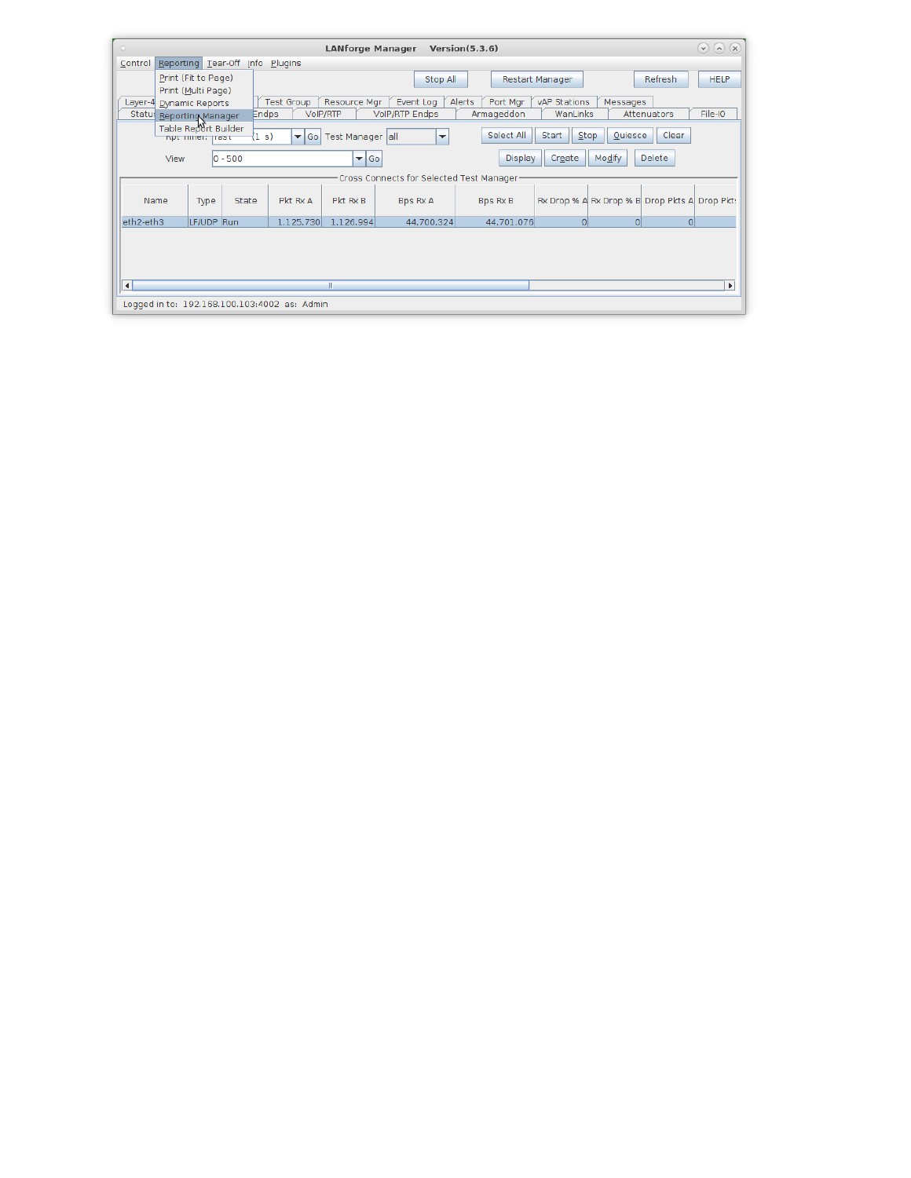| $\circ$                                            | <b>LANforge Manager</b><br>Version(5.3.6)                                                                                                                                               | $\odot$ $\odot$ $\alpha$ |  |  |  |  |
|----------------------------------------------------|-----------------------------------------------------------------------------------------------------------------------------------------------------------------------------------------|--------------------------|--|--|--|--|
| Reporting Tear-Off Info<br>Control                 | Plugins                                                                                                                                                                                 |                          |  |  |  |  |
| Print (Fit to Page)                                | Refresh<br>Stop All<br>Restart Manager                                                                                                                                                  | <b>HELP</b>              |  |  |  |  |
| Print (Multi Page)                                 |                                                                                                                                                                                         |                          |  |  |  |  |
| Layer-4<br><b>Dynamic Reports</b><br><b>Statut</b> | Resource Mgr<br>Alerts<br>vAP Stations<br><b>Test Group</b><br>Event Log<br>Port Mgr<br>Messages<br><b>VolP/RTP Endps</b><br>WanLinks<br>Attenuators<br>Endps<br>VoIP/RTP<br>Armageddon | File-IO                  |  |  |  |  |
| Reporting Manager<br>Table Report Builder          |                                                                                                                                                                                         |                          |  |  |  |  |
| npt miler: ji as t                                 | Select All<br>Clear<br>Start<br>Stop<br>Quiesce<br>Test Manager all<br>(1 s)<br>$\blacktriangledown$ Go<br>$\blacktriangledown$                                                         |                          |  |  |  |  |
| $ 0 - 500 $<br>View                                | Modify<br>Create<br><b>Delete</b><br>$\blacktriangledown$ Go<br><b>Display</b>                                                                                                          |                          |  |  |  |  |
|                                                    | Cross Connects for Selected Test Manager-                                                                                                                                               |                          |  |  |  |  |
| Name<br>State<br>Type                              | Rx Drop % A Rx Drop % B Drop Pkts A Drop Pkt:<br>Pkt Rx A<br>Pkt Rx B<br><b>Bps Rx A</b><br><b>Bps Rx B</b>                                                                             |                          |  |  |  |  |
| eth2-eth3<br>LF/UDP Run                            | $\Omega$<br> 0 <br>1,125,730<br>1,126,994<br> 0 <br>44,700,324<br>44.701.076                                                                                                            |                          |  |  |  |  |
|                                                    |                                                                                                                                                                                         |                          |  |  |  |  |
| $\vert$ (                                          | Ш                                                                                                                                                                                       | $\blacktriangleright$    |  |  |  |  |
| Logged in to: 192.168.100.103:4002 as: Admin       |                                                                                                                                                                                         |                          |  |  |  |  |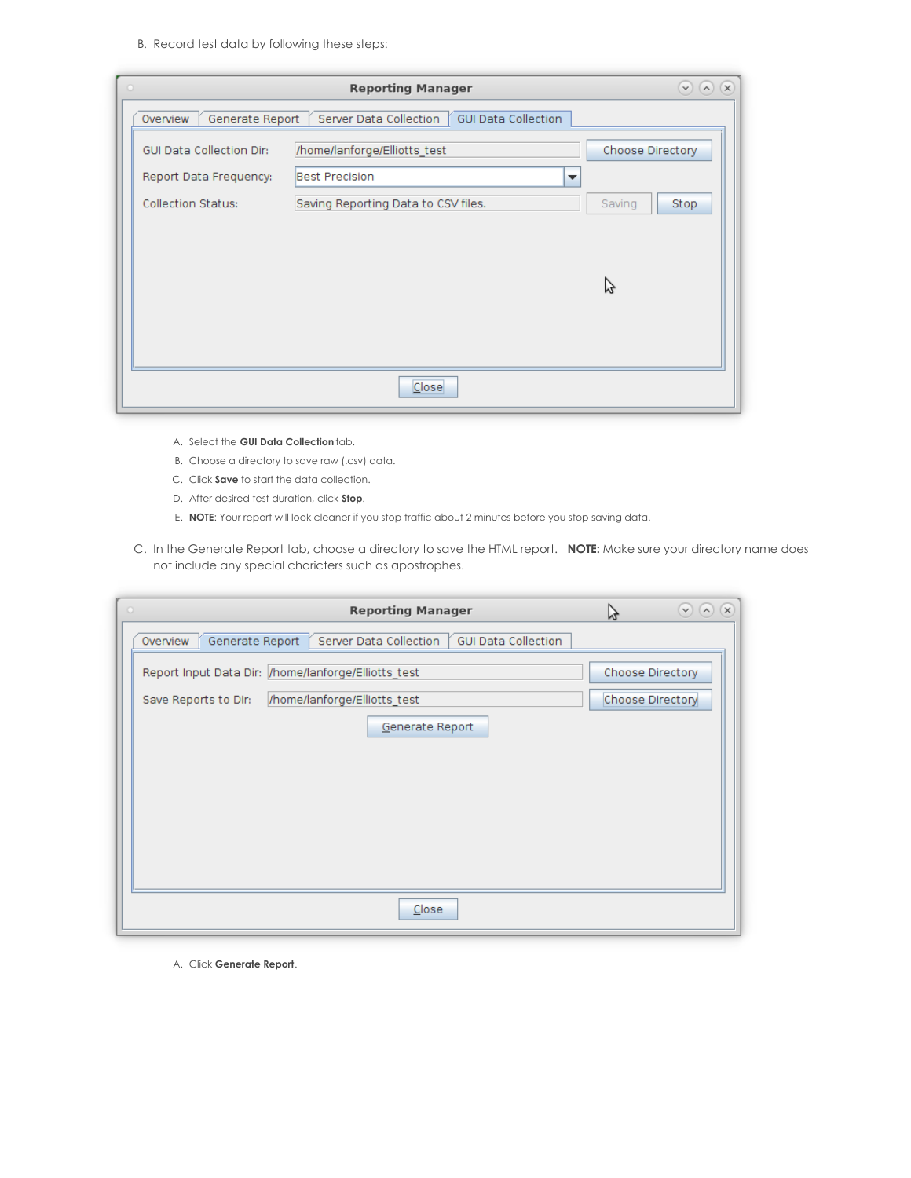B. Record test data by following these steps:

| $\circ$                         | <b>Reporting Manager</b>                             | $(\times)$<br>$(v)$ $(v)$ |
|---------------------------------|------------------------------------------------------|---------------------------|
| Overview<br>Generate Report     | <b>GUI Data Collection</b><br>Server Data Collection |                           |
| <b>GUI Data Collection Dir:</b> | /home/lanforge/Elliotts_test                         | Choose Directory          |
| Report Data Frequency:          | <b>Best Precision</b><br>▼                           |                           |
| <b>Collection Status:</b>       | Saving Reporting Data to CSV files.                  | Saving<br>Stop            |
|                                 |                                                      |                           |
|                                 |                                                      |                           |
|                                 |                                                      | じ                         |
|                                 |                                                      |                           |
|                                 |                                                      |                           |
|                                 |                                                      |                           |
|                                 | Close                                                |                           |

- A. Select the **GUI Data Collection** tab.
- B. Choose a directory to save raw (.csv) data.
- C. Click **Save** to start the data collection.
- D. After desired test duration, click **Stop**.
- E. **NOTE**: Your report will look cleaner if you stop traffic about 2 minutes before you stop saving data.
- C. In the Generate Report tab, choose a directory to save the HTML report. **NOTE:** Make sure your directory name does not include any special charicters such as apostrophes.

| $\circ$<br><b>Reporting Manager</b>                                         | ヴ                | $(0)$ $(0)$ $(0)$ |
|-----------------------------------------------------------------------------|------------------|-------------------|
| Server Data Collection   GUI Data Collection<br>Overview<br>Generate Report |                  |                   |
| Report Input Data Dir: /home/lanforge/Elliotts_test                         | Choose Directory |                   |
| /home/lanforge/Elliotts_test<br>Save Reports to Dir:                        | Choose Directory |                   |
| Generate Report                                                             |                  |                   |
| Close                                                                       |                  |                   |

A. Click **Generate Report**.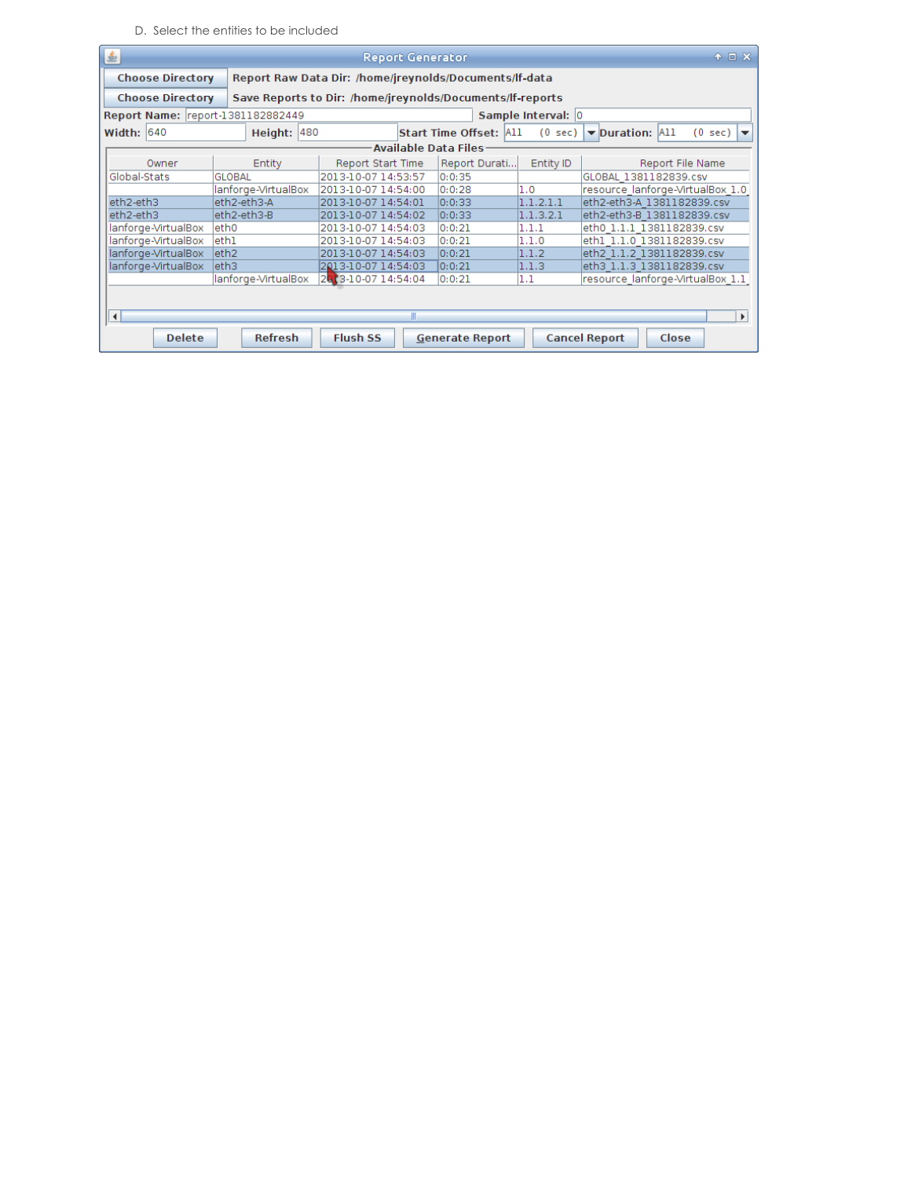D. Select the entities to be included

| $\frac{2}{3}$                                                                                          |                                                                                   | <b>Report Generator</b> |                                                    | $A \Box X$                                                                                      |  |  |  |
|--------------------------------------------------------------------------------------------------------|-----------------------------------------------------------------------------------|-------------------------|----------------------------------------------------|-------------------------------------------------------------------------------------------------|--|--|--|
|                                                                                                        | <b>Choose Directory</b><br>Report Raw Data Dir: /home/jreynolds/Documents/lf-data |                         |                                                    |                                                                                                 |  |  |  |
| <b>Choose Directory</b><br>Save Reports to Dir: /home/jreynolds/Documents/If-reports                   |                                                                                   |                         |                                                    |                                                                                                 |  |  |  |
| Sample Interval: 0<br>Report Name: report-1381182882449                                                |                                                                                   |                         |                                                    |                                                                                                 |  |  |  |
| <b>Width: 640</b>                                                                                      | <b>Height: 480</b>                                                                |                         | $(0 \text{ sec})$<br><b>Start Time Offset: All</b> | $\blacktriangleright$ Duration: $\mathsf{All}$<br>$(0 \text{ sec})$<br>$\overline{\phantom{a}}$ |  |  |  |
| Available Data Files                                                                                   |                                                                                   |                         |                                                    |                                                                                                 |  |  |  |
| Owner                                                                                                  | Entity                                                                            | Report Start Time       | Entity ID<br>Report Durati                         | <b>Report File Name</b>                                                                         |  |  |  |
| Global-Stats                                                                                           | GLOBAL                                                                            | 2013-10-07 14:53:57     | 0:0:35                                             | GLOBAL 1381182839.csv                                                                           |  |  |  |
|                                                                                                        | lanforge-VirtualBox                                                               | 2013-10-07 14:54:00     | 0:0:28<br>1.0                                      | resource lanforge-VirtualBox 1.0                                                                |  |  |  |
| eth2-eth3                                                                                              | eth2-eth3-A                                                                       | 2013-10-07 14:54:01     | 1.1.2.1.1<br> 0:0:33                               | eth2-eth3-A 1381182839.csv                                                                      |  |  |  |
| eth2-eth3                                                                                              | eth2-eth3-B                                                                       | 2013-10-07 14:54:02     | 1.1.3.2.1<br>0:0:33                                | leth2-eth3-B 1381182839.csv                                                                     |  |  |  |
| lanforge-VirtualBox                                                                                    | leth0                                                                             | 2013-10-07 14:54:03     | 0:0:21<br>1.1.1                                    | leth0 1.1.1 1381182839.csv                                                                      |  |  |  |
| lanforge-VirtualBox                                                                                    | leth1                                                                             | 2013-10-07 14:54:03     | 0:0:21<br>1.1.0                                    | leth1 1.1.0 1381182839.csv                                                                      |  |  |  |
| lanforge-VirtualBox                                                                                    | leth <sub>2</sub>                                                                 | 2013-10-07 14:54:03     | 0:0:21<br>1.1.2                                    | leth2 1.1.2 1381182839.csv                                                                      |  |  |  |
| lanforge-VirtualBox                                                                                    | leth3                                                                             | 2013-10-07 14:54:03     | 0:0:21<br>1.1.3                                    | eth3 1.1.3 1381182839.csv                                                                       |  |  |  |
|                                                                                                        | lanforge-VirtualBox                                                               | 2013-10-07 14:54:04     | 0:0:21<br>1.1                                      | resource lanforge-VirtualBox 1.1                                                                |  |  |  |
|                                                                                                        |                                                                                   |                         |                                                    |                                                                                                 |  |  |  |
| $\blacktriangleleft$<br>Þ.                                                                             |                                                                                   |                         |                                                    |                                                                                                 |  |  |  |
| <b>Refresh</b><br><b>Flush SS</b><br><b>Cancel Report</b><br><b>Delete</b><br>Close<br>Generate Report |                                                                                   |                         |                                                    |                                                                                                 |  |  |  |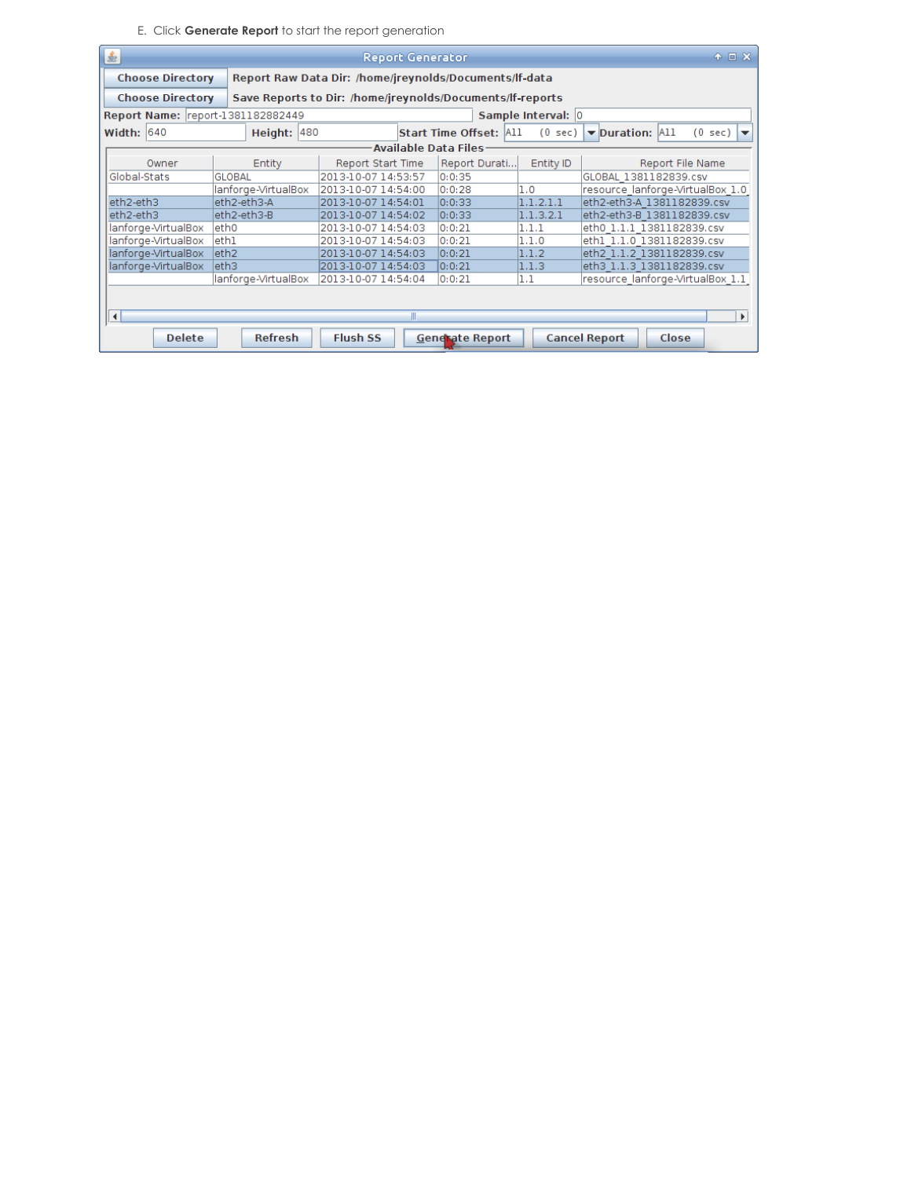E. Click **Generate Report** to start the report generation

| $\frac{2}{3}$                                                                                                 |                                                           | <b>Report Generator</b>                                |                                                    | $A \Box X$                                                     |  |  |  |
|---------------------------------------------------------------------------------------------------------------|-----------------------------------------------------------|--------------------------------------------------------|----------------------------------------------------|----------------------------------------------------------------|--|--|--|
| <b>Choose Directory</b>                                                                                       |                                                           | Report Raw Data Dir: /home/jreynolds/Documents/If-data |                                                    |                                                                |  |  |  |
| <b>Choose Directory</b>                                                                                       | Save Reports to Dir: /home/jreynolds/Documents/lf-reports |                                                        |                                                    |                                                                |  |  |  |
| Sample Interval: 0<br>Report Name: report-1381182882449                                                       |                                                           |                                                        |                                                    |                                                                |  |  |  |
| Width: $640$                                                                                                  | <b>Height: 480</b>                                        |                                                        | <b>Start Time Offset: All</b><br>$(0 \text{ sec})$ | Duration: All<br>$(0 \text{ sec})$<br>$\overline{\phantom{a}}$ |  |  |  |
| <b>Available Data Files</b>                                                                                   |                                                           |                                                        |                                                    |                                                                |  |  |  |
| Owner                                                                                                         | Entity                                                    | Report Start Time                                      | Report Durati<br>Entity ID                         | <b>Report File Name</b>                                        |  |  |  |
| Global-Stats                                                                                                  | GLOBAL                                                    | 2013-10-07 14:53:57                                    | 0:0:35                                             | GLOBAL 1381182839.csv                                          |  |  |  |
|                                                                                                               | lanforge-VirtualBox                                       | 2013-10-07 14:54:00                                    | 0:0:28<br>1.0                                      | resource lanforge-VirtualBox 1.0                               |  |  |  |
| eth2-eth3                                                                                                     | eth2-eth3-A                                               | 2013-10-07 14:54:01                                    | 0:0:33<br>1.1.2.1.1                                | eth2-eth3-A 1381182839.csv                                     |  |  |  |
| eth2-eth3                                                                                                     | eth2-eth3-B                                               | 2013-10-07 14:54:02                                    | 1.1.3.2.1<br> 0:0:33                               | leth2-eth3-B 1381182839.csv                                    |  |  |  |
| lanforge-VirtualBox                                                                                           | leth <sub>0</sub>                                         | 2013-10-07 14:54:03                                    | 1.1.1<br>0:0:21                                    | leth0 1.1.1 1381182839.csv                                     |  |  |  |
| lanforge-VirtualBox                                                                                           | leth1                                                     | 2013-10-07 14:54:03                                    | 1.1.0<br>0:0:21                                    | leth1 1.1.0 1381182839.csv                                     |  |  |  |
| lanforge-VirtualBox                                                                                           | leth <sub>2</sub>                                         | 2013-10-07 14:54:03                                    | 0:0:21<br>1.1.2                                    | eth2 1.1.2 1381182839.csv                                      |  |  |  |
| lanforge-VirtualBox                                                                                           | leth3                                                     | 2013-10-07 14:54:03                                    | 0:0:21<br>1.1.3                                    | leth3 1.1.3 1381182839.csv                                     |  |  |  |
|                                                                                                               | lanforge-VirtualBox                                       | 2013-10-07 14:54:04                                    | 1.1<br>0:0:21                                      | resource lanforge-VirtualBox 1.1                               |  |  |  |
|                                                                                                               |                                                           |                                                        |                                                    |                                                                |  |  |  |
| $\blacktriangleleft$                                                                                          |                                                           |                                                        |                                                    |                                                                |  |  |  |
| <b>Flush SS</b><br><b>Refresh</b><br><b>Delete</b><br><b>Cancel Report</b><br>Close<br><b>Generate Report</b> |                                                           |                                                        |                                                    |                                                                |  |  |  |